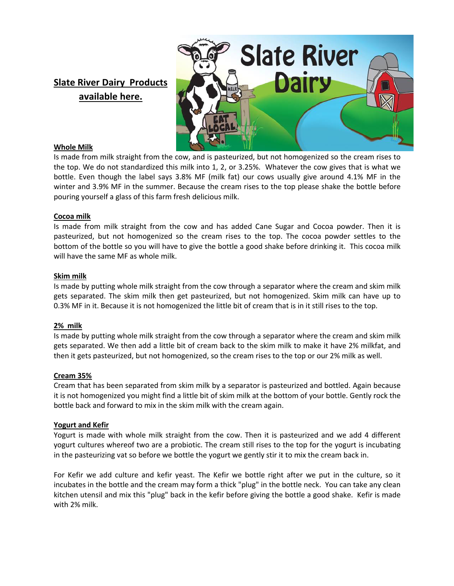# **Slate River Dairy Products available here.**



### **Whole Milk**

Is made from milk straight from the cow, and is pasteurized, but not homogenized so the cream rises to the top. We do not standardized this milk into 1, 2, or 3.25%. Whatever the cow gives that is what we bottle. Even though the label says 3.8% MF (milk fat) our cows usually give around 4.1% MF in the winter and 3.9% MF in the summer. Because the cream rises to the top please shake the bottle before pouring yourself a glass of this farm fresh delicious milk.

#### **Cocoa milk**

Is made from milk straight from the cow and has added Cane Sugar and Cocoa powder. Then it is pasteurized, but not homogenized so the cream rises to the top. The cocoa powder settles to the bottom of the bottle so you will have to give the bottle a good shake before drinking it. This cocoa milk will have the same MF as whole milk.

#### **Skim milk**

Is made by putting whole milk straight from the cow through a separator where the cream and skim milk gets separated. The skim milk then get pasteurized, but not homogenized. Skim milk can have up to 0.3% MF in it. Because it is not homogenized the little bit of cream that is in it still rises to the top.

### **2% milk**

Is made by putting whole milk straight from the cow through a separator where the cream and skim milk gets separated. We then add a little bit of cream back to the skim milk to make it have 2% milkfat, and then it gets pasteurized, but not homogenized, so the cream rises to the top or our 2% milk as well.

### **Cream 35%**

Cream that has been separated from skim milk by a separator is pasteurized and bottled. Again because it is not homogenized you might find a little bit of skim milk at the bottom of your bottle. Gently rock the bottle back and forward to mix in the skim milk with the cream again.

### **Yogurt and Kefir**

Yogurt is made with whole milk straight from the cow. Then it is pasteurized and we add 4 different yogurt cultures whereof two are a probiotic. The cream still rises to the top for the yogurt is incubating in the pasteurizing vat so before we bottle the yogurt we gently stir it to mix the cream back in.

For Kefir we add culture and kefir yeast. The Kefir we bottle right after we put in the culture, so it incubates in the bottle and the cream may form a thick "plug" in the bottle neck. You can take any clean kitchen utensil and mix this "plug" back in the kefir before giving the bottle a good shake. Kefir is made with 2% milk.